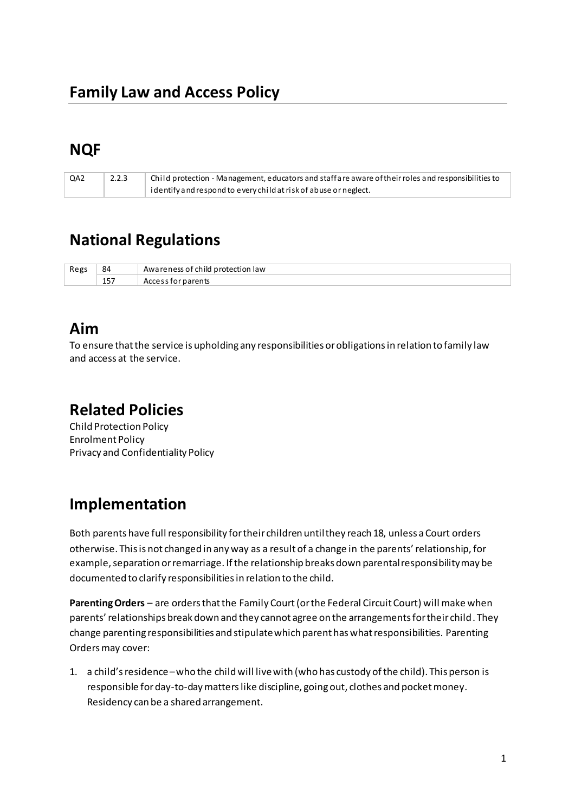# **NQF**

| QA2 | 2.2.3 | $\perp$ Child protection - Management, educators and staff are aware of their roles and responsibilities to |
|-----|-------|-------------------------------------------------------------------------------------------------------------|
|     |       | identify and respond to every child at risk of abuse or neglect.                                            |

# **National Regulations**

| Regs | 84            | protection law<br>ch ild<br>$.1 \triangle C$<br>AW |
|------|---------------|----------------------------------------------------|
|      | 1 E T<br>13 I | rents.                                             |

### **Aim**

To ensure that the service is upholding any responsibilities or obligations in relation to family law and access at the service.

### **Related Policies**

Child Protection Policy Enrolment Policy Privacy and Confidentiality Policy

## **Implementation**

Both parents have full responsibility for their children until they reach 18, unless a Court orders otherwise. This is not changed in any way as a result of a change in the parents' relationship, for example, separation or remarriage. If the relationship breaks down parental responsibility may be documented to clarify responsibilities in relation to the child.

**Parenting Orders** – are orders that the Family Court (or the Federal Circuit Court) will make when parents' relationships break down and they cannot agree on the arrangements for their child. They change parenting responsibilities and stipulate which parent has what responsibilities. Parenting Orders may cover:

1. a child's residence – who the child will live with (who has custody of the child). This person is responsible for day-to-day matters like discipline, going out, clothes and pocket money. Residency can be a shared arrangement.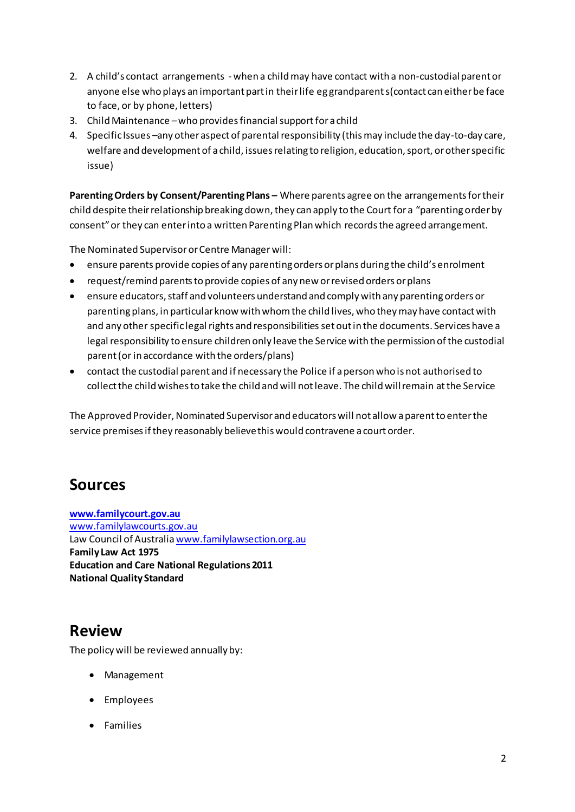- 2. A child's contact arrangements when a child may have contact with a non-custodial parent or anyone else who plays an important part in their life eg grandparent s(contact can either be face to face, or by phone, letters)
- 3. Child Maintenance who provides financial support for a child
- 4. Specific Issues –any other aspect of parental responsibility (this may include the day-to-day care, welfare and development of a child, issues relating to religion, education, sport, or other specific issue)

Parenting Orders by Consent/Parenting Plans - Where parents agree on the arrangements for their child despite their relationship breaking down, they can apply to the Court for a "parenting order by consent" or they can enter into a written Parenting Plan which records the agreed arrangement.

The Nominated Supervisor or Centre Manager will:

- ensure parents provide copies of any parenting orders or plans during the child's enrolment
- request/remind parents to provide copies of any new or revised orders or plans
- ensure educators, staff and volunteers understand and comply with any parenting orders or parenting plans, in particular know with whom the child lives, who they may have contact with and any other specific legal rights and responsibilities set out in the documents. Services have a legal responsibility to ensure children only leave the Service with the permission of the custodial parent (or in accordance with the orders/plans)
- contact the custodial parent and if necessary the Police if a person who is not authorised to collect the child wishes to take the child and will not leave. The child will remain at the Service

The Approved Provider, Nominated Supervisor and educators will not allow a parent to enter the service premises if they reasonably believe this would contravene a court order.

### **Sources**

**[www.familycourt.gov.au](http://www.familycourt.gov.au/)** [www.familylawcourts.gov.au](http://www.familylawcourts.gov.au/) Law Council of Australi[a www.familylawsection.org.au](http://www.familylawsection.org.au/) **Family Law Act 1975 Education and Care National Regulations 2011 National Quality Standard** 

## **Review**

The policy will be reviewed annually by:

- Management
- Employees
- Families